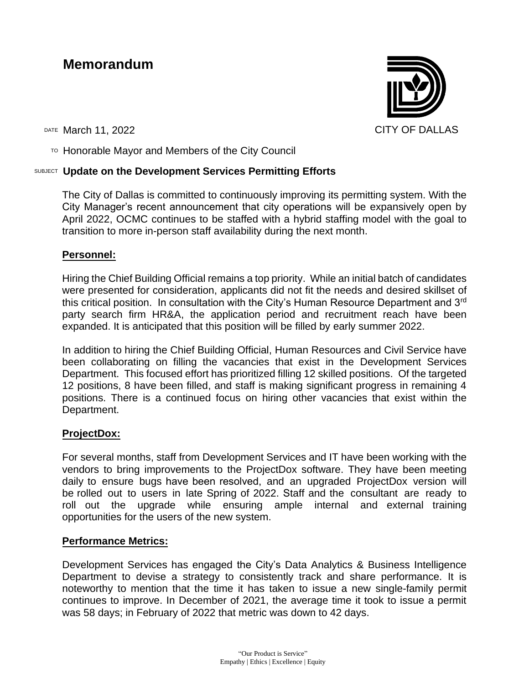# **Memorandum**

DATE March 11, 2022 CITY OF DALLAS

TO Honorable Mayor and Members of the City Council

## SUBJECT **Update on the Development Services Permitting Efforts**

The City of Dallas is committed to continuously improving its permitting system. With the City Manager's recent announcement that city operations will be expansively open by April 2022, OCMC continues to be staffed with a hybrid staffing model with the goal to transition to more in-person staff availability during the next month.

### **Personnel:**

Hiring the Chief Building Official remains a top priority. While an initial batch of candidates were presented for consideration, applicants did not fit the needs and desired skillset of this critical position. In consultation with the City's Human Resource Department and 3rd party search firm HR&A, the application period and recruitment reach have been expanded. It is anticipated that this position will be filled by early summer 2022.

In addition to hiring the Chief Building Official, Human Resources and Civil Service have been collaborating on filling the vacancies that exist in the Development Services Department. This focused effort has prioritized filling 12 skilled positions. Of the targeted 12 positions, 8 have been filled, and staff is making significant progress in remaining 4 positions. There is a continued focus on hiring other vacancies that exist within the Department.

### **ProjectDox:**

For several months, staff from Development Services and IT have been working with the vendors to bring improvements to the ProjectDox software. They have been meeting daily to ensure bugs have been resolved, and an upgraded ProjectDox version will be rolled out to users in late Spring of 2022. Staff and the consultant are ready to roll out the upgrade while ensuring ample internal and external training opportunities for the users of the new system.

### **Performance Metrics:**

Development Services has engaged the City's Data Analytics & Business Intelligence Department to devise a strategy to consistently track and share performance. It is noteworthy to mention that the time it has taken to issue a new single-family permit continues to improve. In December of 2021, the average time it took to issue a permit was 58 days; in February of 2022 that metric was down to 42 days.